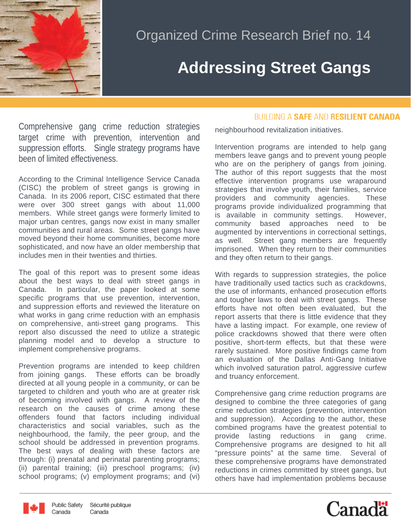

## **Addressing Street Gangs**

Comprehensive gang crime reduction strategies target crime with prevention, intervention and suppression efforts. Single strategy programs have been of limited effectiveness.

According to the Criminal Intelligence Service Canada (CISC) the problem of street gangs is growing in Canada. In its 2006 report, CISC estimated that there were over 300 street gangs with about 11,000 members. While street gangs were formerly limited to major urban centres, gangs now exist in many smaller communities and rural areas. Some street gangs have moved beyond their home communities, become more sophisticated, and now have an older membership that includes men in their twenties and thirties.

The goal of this report was to present some ideas about the best ways to deal with street gangs in Canada. In particular, the paper looked at some specific programs that use prevention, intervention, and suppression efforts and reviewed the literature on what works in gang crime reduction with an emphasis on comprehensive, anti-street gang programs. This report also discussed the need to utilize a strategic planning model and to develop a structure to implement comprehensive programs.

Prevention programs are intended to keep children from joining gangs. These efforts can be broadly directed at all young people in a community, or can be targeted to children and youth who are at greater risk of becoming involved with gangs. A review of the research on the causes of crime among these offenders found that factors including individual characteristics and social variables, such as the neighbourhood, the family, the peer group, and the school should be addressed in prevention programs. The best ways of dealing with these factors are through: (i) prenatal and perinatal parenting programs; (ii) parental training; (iii) preschool programs; (iv) school programs; (v) employment programs; and (vi)

## **BUILDING A SAFE AND RESILIENT CANADA**

neighbourhood revitalization initiatives.

Intervention programs are intended to help gang members leave gangs and to prevent young people who are on the periphery of gangs from joining. The author of this report suggests that the most effective intervention programs use wraparound strategies that involve youth, their families, service providers and community agencies. These programs provide individualized programming that is available in community settings. However, community based approaches need to be augmented by interventions in correctional settings, as well. Street gang members are frequently imprisoned. When they return to their communities and they often return to their gangs.

With regards to suppression strategies, the police have traditionally used tactics such as crackdowns, the use of informants, enhanced prosecution efforts and tougher laws to deal with street gangs. These efforts have not often been evaluated, but the report asserts that there is little evidence that they have a lasting impact. For example, one review of police crackdowns showed that there were often positive, short-term effects, but that these were rarely sustained. More positive findings came from an evaluation of the Dallas Anti-Gang Initiative which involved saturation patrol, aggressive curfew and truancy enforcement.

Comprehensive gang crime reduction programs are designed to combine the three categories of gang crime reduction strategies (prevention, intervention and suppression). According to the author, these combined programs have the greatest potential to provide lasting reductions in gang crime. Comprehensive programs are designed to hit all "pressure points" at the same time. Several of these comprehensive programs have demonstrated reductions in crimes committed by street gangs, but others have had implementation problems because